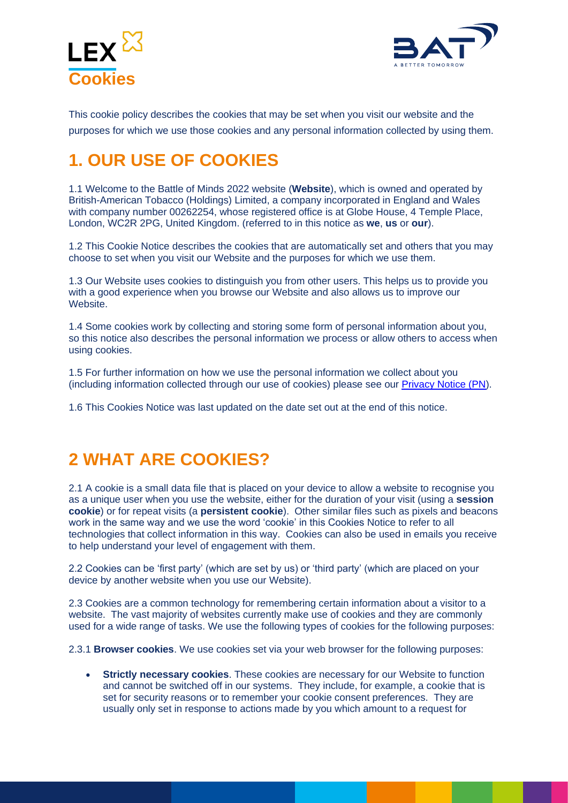



This cookie policy describes the cookies that may be set when you visit our website and the purposes for which we use those cookies and any personal information collected by using them.

## **1. OUR USE OF COOKIES**

1.1 Welcome to the Battle of Minds 2022 website (**Website**), which is owned and operated by British-American Tobacco (Holdings) Limited, a company incorporated in England and Wales with company number 00262254, whose registered office is at Globe House, 4 Temple Place, London, WC2R 2PG, United Kingdom. (referred to in this notice as **we**, **us** or **our**).

1.2 This Cookie Notice describes the cookies that are automatically set and others that you may choose to set when you visit our Website and the purposes for which we use them.

1.3 Our Website uses cookies to distinguish you from other users. This helps us to provide you with a good experience when you browse our Website and also allows us to improve our Website.

1.4 Some cookies work by collecting and storing some form of personal information about you, so this notice also describes the personal information we process or allow others to access when using cookies.

1.5 For further information on how we use the personal information we collect about you (including information collected through our use of cookies) please see our [Privacy Notice \(PN\)](https://competition.bat-battleofminds.com/privacy).

1.6 This Cookies Notice was last updated on the date set out at the end of this notice.

### **2 WHAT ARE COOKIES?**

2.1 A cookie is a small data file that is placed on your device to allow a website to recognise you as a unique user when you use the website, either for the duration of your visit (using a **session cookie**) or for repeat visits (a **persistent cookie**). Other similar files such as pixels and beacons work in the same way and we use the word 'cookie' in this Cookies Notice to refer to all technologies that collect information in this way. Cookies can also be used in emails you receive to help understand your level of engagement with them.

2.2 Cookies can be 'first party' (which are set by us) or 'third party' (which are placed on your device by another website when you use our Website).

2.3 Cookies are a common technology for remembering certain information about a visitor to a website. The vast majority of websites currently make use of cookies and they are commonly used for a wide range of tasks. We use the following types of cookies for the following purposes:

2.3.1 **Browser cookies**. We use cookies set via your web browser for the following purposes:

• **Strictly necessary cookies**. These cookies are necessary for our Website to function and cannot be switched off in our systems. They include, for example, a cookie that is set for security reasons or to remember your cookie consent preferences. They are usually only set in response to actions made by you which amount to a request for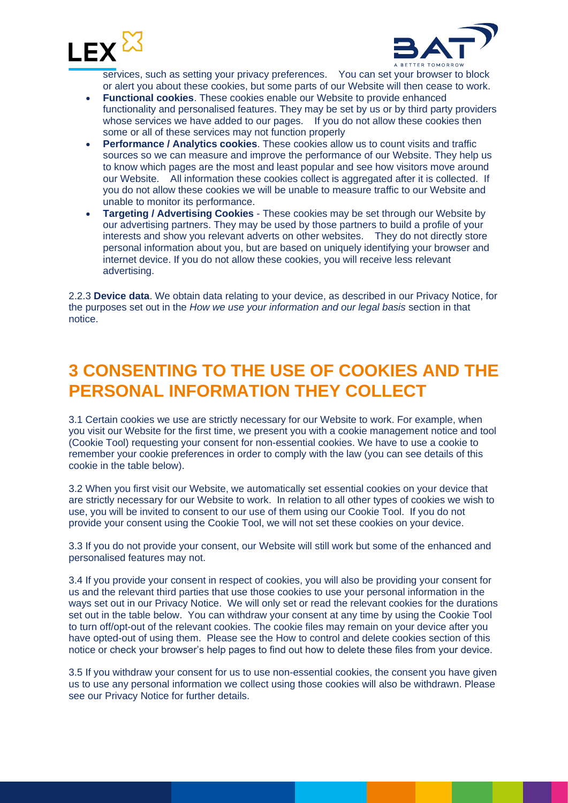



services, such as setting your privacy preferences. You can set your browser to block or alert you about these cookies, but some parts of our Website will then cease to work.

- **Functional cookies**. These cookies enable our Website to provide enhanced functionality and personalised features. They may be set by us or by third party providers whose services we have added to our pages. If you do not allow these cookies then some or all of these services may not function properly
- **Performance / Analytics cookies**. These cookies allow us to count visits and traffic sources so we can measure and improve the performance of our Website. They help us to know which pages are the most and least popular and see how visitors move around our Website. All information these cookies collect is aggregated after it is collected. If you do not allow these cookies we will be unable to measure traffic to our Website and unable to monitor its performance.
- **Targeting / Advertising Cookies** These cookies may be set through our Website by our advertising partners. They may be used by those partners to build a profile of your interests and show you relevant adverts on other websites. They do not directly store personal information about you, but are based on uniquely identifying your browser and internet device. If you do not allow these cookies, you will receive less relevant advertising.

2.2.3 **Device data**. We obtain data relating to your device, as described in our Privacy Notice, for the purposes set out in the *How we use your information and our legal basis* section in that notice.

#### **3 CONSENTING TO THE USE OF COOKIES AND THE PERSONAL INFORMATION THEY COLLECT**

3.1 Certain cookies we use are strictly necessary for our Website to work. For example, when you visit our Website for the first time, we present you with a cookie management notice and tool (Cookie Tool) requesting your consent for non-essential cookies. We have to use a cookie to remember your cookie preferences in order to comply with the law (you can see details of this cookie in the table below).

3.2 When you first visit our Website, we automatically set essential cookies on your device that are strictly necessary for our Website to work. In relation to all other types of cookies we wish to use, you will be invited to consent to our use of them using our Cookie Tool. If you do not provide your consent using the Cookie Tool, we will not set these cookies on your device.

3.3 If you do not provide your consent, our Website will still work but some of the enhanced and personalised features may not.

3.4 If you provide your consent in respect of cookies, you will also be providing your consent for us and the relevant third parties that use those cookies to use your personal information in the ways set out in our Privacy Notice. We will only set or read the relevant cookies for the durations set out in the table below. You can withdraw your consent at any time by using the Cookie Tool to turn off/opt-out of the relevant cookies. The cookie files may remain on your device after you have opted-out of using them. Please see the How to control and delete cookies section of this notice or check your browser's help pages to find out how to delete these files from your device.

3.5 If you withdraw your consent for us to use non-essential cookies, the consent you have given us to use any personal information we collect using those cookies will also be withdrawn. Please see our Privacy Notice for further details.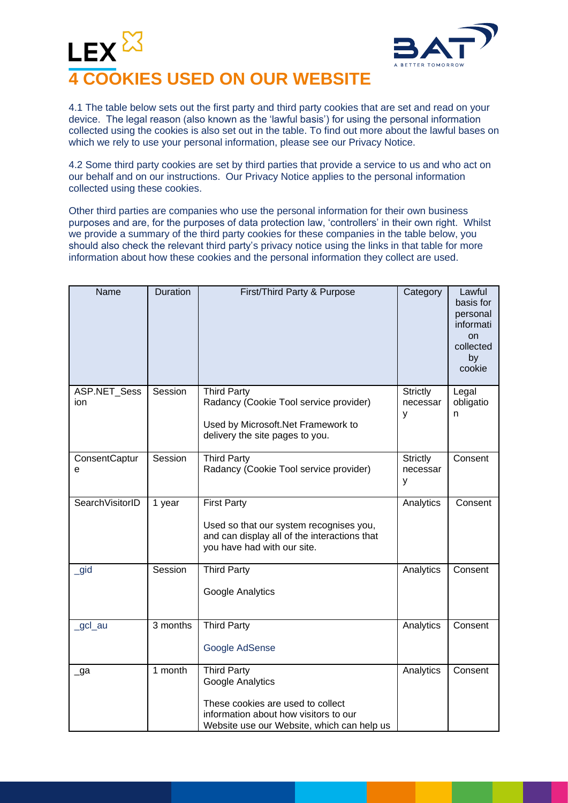



4.1 The table below sets out the first party and third party cookies that are set and read on your device. The legal reason (also known as the 'lawful basis') for using the personal information collected using the cookies is also set out in the table. To find out more about the lawful bases on which we rely to use your personal information, please see our Privacy Notice.

4.2 Some third party cookies are set by third parties that provide a service to us and who act on our behalf and on our instructions. Our Privacy Notice applies to the personal information collected using these cookies.

Other third parties are companies who use the personal information for their own business purposes and are, for the purposes of data protection law, 'controllers' in their own right. Whilst we provide a summary of the third party cookies for these companies in the table below, you should also check the relevant third party's privacy notice using the links in that table for more information about how these cookies and the personal information they collect are used.

| Name                 | Duration | First/Third Party & Purpose                                                                                                                                        | Category                         | Lawful<br>basis for<br>personal<br>informati<br>on<br>collected<br>by<br>cookie |
|----------------------|----------|--------------------------------------------------------------------------------------------------------------------------------------------------------------------|----------------------------------|---------------------------------------------------------------------------------|
| ASP.NET_Sess<br>ion. | Session  | <b>Third Party</b><br>Radancy (Cookie Tool service provider)<br>Used by Microsoft.Net Framework to<br>delivery the site pages to you.                              | <b>Strictly</b><br>necessar<br>y | Legal<br>obligatio<br>n                                                         |
| ConsentCaptur<br>е   | Session  | <b>Third Party</b><br>Radancy (Cookie Tool service provider)                                                                                                       | <b>Strictly</b><br>necessar<br>V | Consent                                                                         |
| SearchVisitorID      | 1 year   | <b>First Party</b><br>Used so that our system recognises you,<br>and can display all of the interactions that<br>you have had with our site.                       | Analytics                        | Consent                                                                         |
| _gid                 | Session  | <b>Third Party</b><br>Google Analytics                                                                                                                             | Analytics                        | Consent                                                                         |
| _gcl_au              | 3 months | Third Party<br>Google AdSense                                                                                                                                      | Analytics                        | Consent                                                                         |
| _ga                  | 1 month  | <b>Third Party</b><br>Google Analytics<br>These cookies are used to collect<br>information about how visitors to our<br>Website use our Website, which can help us | Analytics                        | Consent                                                                         |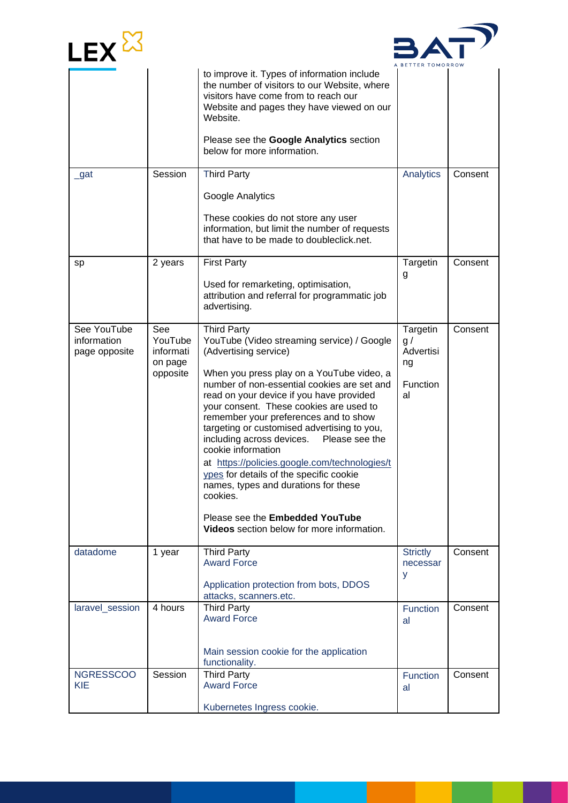



|                                             |                             | to improve it. Types of information include<br>the number of visitors to our Website, where<br>visitors have come from to reach our<br>Website and pages they have viewed on our<br>Website.<br>Please see the Google Analytics section<br>below for more information.                                                                                                                                                                          |                              |         |
|---------------------------------------------|-----------------------------|-------------------------------------------------------------------------------------------------------------------------------------------------------------------------------------------------------------------------------------------------------------------------------------------------------------------------------------------------------------------------------------------------------------------------------------------------|------------------------------|---------|
| _gat                                        | Session                     | <b>Third Party</b>                                                                                                                                                                                                                                                                                                                                                                                                                              | Analytics                    | Consent |
|                                             |                             | Google Analytics                                                                                                                                                                                                                                                                                                                                                                                                                                |                              |         |
|                                             |                             | These cookies do not store any user<br>information, but limit the number of requests<br>that have to be made to doubleclick.net.                                                                                                                                                                                                                                                                                                                |                              |         |
| sp                                          | 2 years                     | <b>First Party</b>                                                                                                                                                                                                                                                                                                                                                                                                                              | Targetin<br>g                | Consent |
|                                             |                             | Used for remarketing, optimisation,<br>attribution and referral for programmatic job<br>advertising.                                                                                                                                                                                                                                                                                                                                            |                              |         |
| See YouTube<br>information<br>page opposite | See<br>YouTube<br>informati | <b>Third Party</b><br>YouTube (Video streaming service) / Google<br>(Advertising service)                                                                                                                                                                                                                                                                                                                                                       | Targetin<br>g /<br>Advertisi | Consent |
|                                             | on page<br>opposite         | When you press play on a YouTube video, a                                                                                                                                                                                                                                                                                                                                                                                                       | ng                           |         |
|                                             |                             | number of non-essential cookies are set and<br>read on your device if you have provided<br>your consent. These cookies are used to<br>remember your preferences and to show<br>targeting or customised advertising to you,<br>including across devices.<br>Please see the<br>cookie information<br>at https://policies.google.com/technologies/t<br>ypes for details of the specific cookie<br>names, types and durations for these<br>cookies. | Function<br>al               |         |
|                                             |                             | Please see the Embedded YouTube<br>Videos section below for more information.                                                                                                                                                                                                                                                                                                                                                                   |                              |         |
| datadome                                    | 1 year                      | <b>Third Party</b><br><b>Award Force</b>                                                                                                                                                                                                                                                                                                                                                                                                        | <b>Strictly</b><br>necessar  | Consent |
|                                             |                             | Application protection from bots, DDOS<br>attacks, scanners.etc.                                                                                                                                                                                                                                                                                                                                                                                | y                            |         |
| laravel session                             | 4 hours                     | <b>Third Party</b><br><b>Award Force</b>                                                                                                                                                                                                                                                                                                                                                                                                        | Function<br>al               | Consent |
|                                             |                             | Main session cookie for the application<br>functionality.                                                                                                                                                                                                                                                                                                                                                                                       |                              |         |
| <b>NGRESSCOO</b><br><b>KIE</b>              | Session                     | <b>Third Party</b><br><b>Award Force</b>                                                                                                                                                                                                                                                                                                                                                                                                        | <b>Function</b><br>al        | Consent |
|                                             |                             | Kubernetes Ingress cookie.                                                                                                                                                                                                                                                                                                                                                                                                                      |                              |         |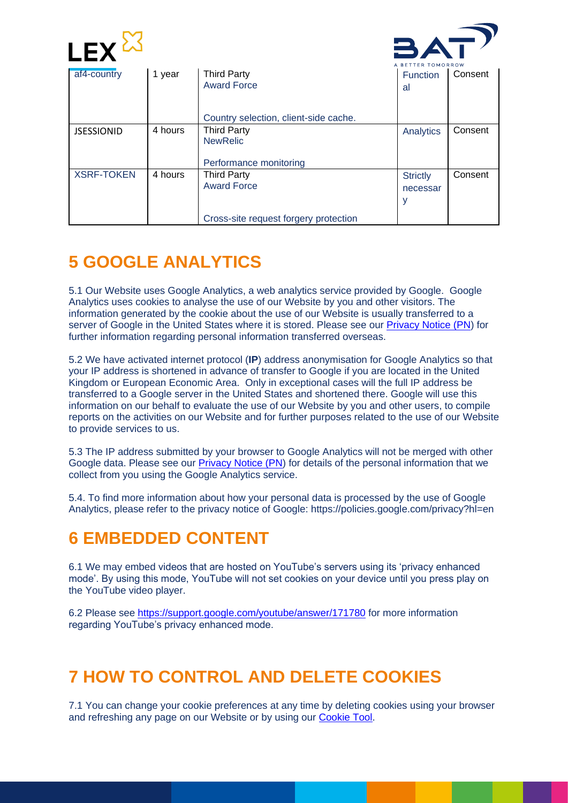



|                   |         |                                       | <b>TOMORROW</b> |         |
|-------------------|---------|---------------------------------------|-----------------|---------|
| af4-country       | 1 year  | <b>Third Party</b>                    | Function        | Consent |
|                   |         | <b>Award Force</b>                    | a               |         |
|                   |         | Country selection, client-side cache. |                 |         |
| <b>JSESSIONID</b> | 4 hours | <b>Third Party</b>                    | Analytics       | Consent |
|                   |         | <b>NewRelic</b>                       |                 |         |
|                   |         |                                       |                 |         |
|                   |         | Performance monitoring                |                 |         |
| <b>XSRF-TOKEN</b> | 4 hours | <b>Third Party</b>                    | <b>Strictly</b> | Consent |
|                   |         | <b>Award Force</b>                    | necessar        |         |
|                   |         |                                       | У               |         |
|                   |         |                                       |                 |         |
|                   |         | Cross-site request forgery protection |                 |         |

# **5 GOOGLE ANALYTICS**

5.1 Our Website uses Google Analytics, a web analytics service provided by Google. Google Analytics uses cookies to analyse the use of our Website by you and other visitors. The information generated by the cookie about the use of our Website is usually transferred to a server of Google in the United States where it is stored. Please see our [Privacy Notice \(PN\)](https://competition.bat-battleofminds.com/privacy) for further information regarding personal information transferred overseas.

5.2 We have activated internet protocol (**IP**) address anonymisation for Google Analytics so that your IP address is shortened in advance of transfer to Google if you are located in the United Kingdom or European Economic Area. Only in exceptional cases will the full IP address be transferred to a Google server in the United States and shortened there. Google will use this information on our behalf to evaluate the use of our Website by you and other users, to compile reports on the activities on our Website and for further purposes related to the use of our Website to provide services to us.

5.3 The IP address submitted by your browser to Google Analytics will not be merged with other Google data. Please see our [Privacy Notice \(PN\)](https://competition.bat-battleofminds.com/privacy) for details of the personal information that we collect from you using the Google Analytics service.

5.4. To find more information about how your personal data is processed by the use of Google Analytics, please refer to the privacy notice of Google: https://policies.google.com/privacy?hl=en

### **6 EMBEDDED CONTENT**

6.1 We may embed videos that are hosted on YouTube's servers using its 'privacy enhanced mode'. By using this mode, YouTube will not set cookies on your device until you press play on the YouTube video player.

6.2 Please see <https://support.google.com/youtube/answer/171780> for more information regarding YouTube's privacy enhanced mode.

### **7 HOW TO CONTROL AND DELETE COOKIES**

7.1 You can change your cookie preferences at any time by deleting cookies using your browser and refreshing any page on our Website or by using our [Cookie Tool.](https://competition.bat-battleofminds.com/cookie-management)